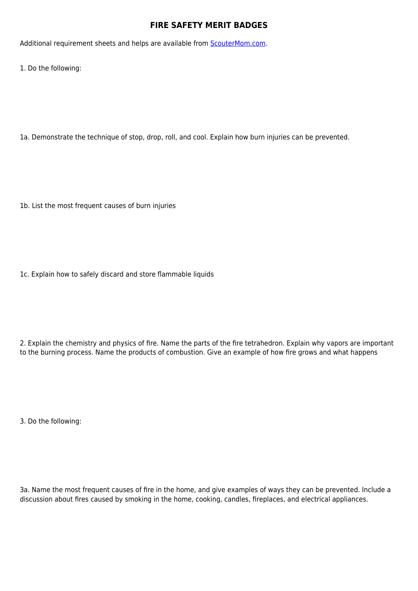## **FIRE SAFETY MERIT BADGES**

Additional requirement sheets and helps are available from [ScouterMom.com](http://scoutermom.com).

1. Do the following:

1a. Demonstrate the technique of stop, drop, roll, and cool. Explain how burn injuries can be prevented.

1b. List the most frequent causes of burn injuries

1c. Explain how to safely discard and store flammable liquids

2. Explain the chemistry and physics of fire. Name the parts of the fire tetrahedron. Explain why vapors are important to the burning process. Name the products of combustion. Give an example of how fire grows and what happens

3. Do the following:

3a. Name the most frequent causes of fire in the home, and give examples of ways they can be prevented. Include a discussion about fires caused by smoking in the home, cooking, candles, fireplaces, and electrical appliances.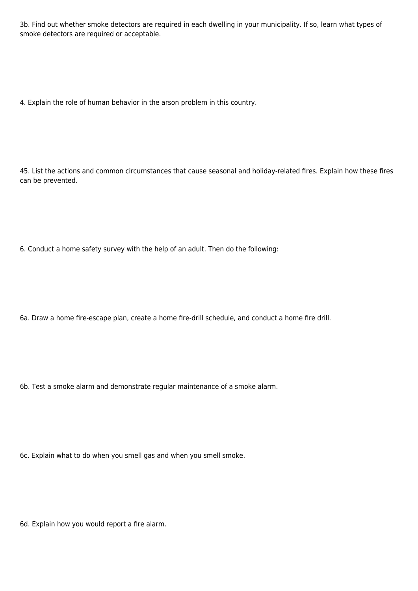3b. Find out whether smoke detectors are required in each dwelling in your municipality. If so, learn what types of smoke detectors are required or acceptable.

4. Explain the role of human behavior in the arson problem in this country.

45. List the actions and common circumstances that cause seasonal and holiday-related fires. Explain how these fires can be prevented.

6. Conduct a home safety survey with the help of an adult. Then do the following:

6a. Draw a home fire-escape plan, create a home fire-drill schedule, and conduct a home fire drill.

6b. Test a smoke alarm and demonstrate regular maintenance of a smoke alarm.

6c. Explain what to do when you smell gas and when you smell smoke.

6d. Explain how you would report a fire alarm.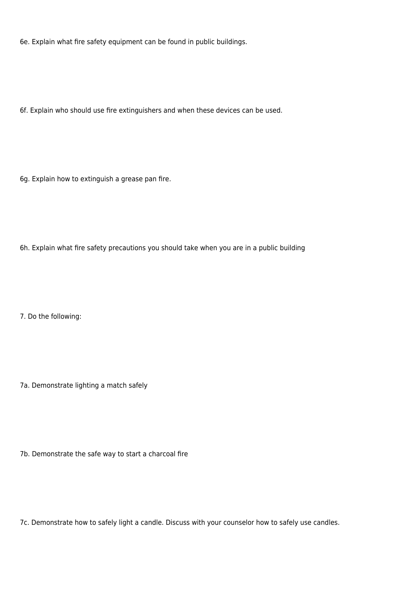6e. Explain what fire safety equipment can be found in public buildings.

6f. Explain who should use fire extinguishers and when these devices can be used.

6g. Explain how to extinguish a grease pan fire.

6h. Explain what fire safety precautions you should take when you are in a public building

7. Do the following:

7a. Demonstrate lighting a match safely

7b. Demonstrate the safe way to start a charcoal fire

7c. Demonstrate how to safely light a candle. Discuss with your counselor how to safely use candles.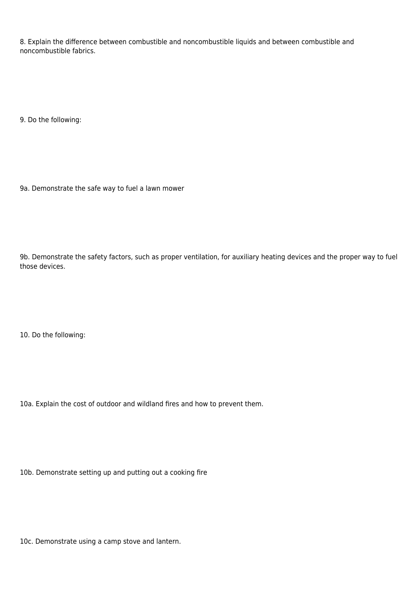8. Explain the difference between combustible and noncombustible liquids and between combustible and noncombustible fabrics.

9. Do the following:

9a. Demonstrate the safe way to fuel a lawn mower

9b. Demonstrate the safety factors, such as proper ventilation, for auxiliary heating devices and the proper way to fuel those devices.

10. Do the following:

10a. Explain the cost of outdoor and wildland fires and how to prevent them.

10b. Demonstrate setting up and putting out a cooking fire

10c. Demonstrate using a camp stove and lantern.